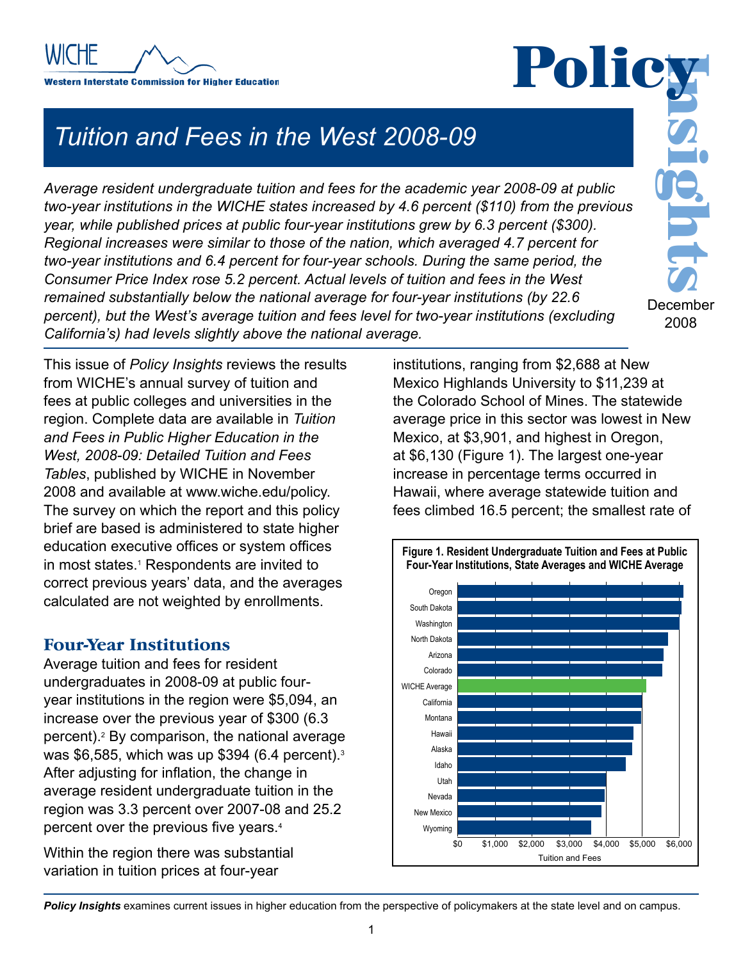

*Tuition and Fees in the West 2008-09*

**Policy**<br>
pos-09 at public<br>
() from the previous<br>
rcent (\$300).<br>
Therecent for<br>
me period, the<br>
n the West *Average resident undergraduate tuition and fees for the academic year 2008-09 at public two-year institutions in the WICHE states increased by 4.6 percent (\$110) from the previous year, while published prices at public four-year institutions grew by 6.3 percent (\$300). Regional increases were similar to those of the nation, which averaged 4.7 percent for two-year institutions and 6.4 percent for four-year schools. During the same period, the Consumer Price Index rose 5.2 percent. Actual levels of tuition and fees in the West remained substantially below the national average for four-year institutions (by 22.6 percent), but the West's average tuition and fees level for two-year institutions (excluding California's) had levels slightly above the national average.* 

December 2008

This issue of *Policy Insights* reviews the results from WICHE's annual survey of tuition and fees at public colleges and universities in the region. Complete data are available in *Tuition and Fees in Public Higher Education in the West, 2008-09: Detailed Tuition and Fees Tables*, published by WICHE in November 2008 and available at www.wiche.edu/policy. The survey on which the report and this policy brief are based is administered to state higher education executive offices or system offices in most states.1 Respondents are invited to correct previous years' data, and the averages calculated are not weighted by enrollments.

### **Four-Year Institutions**

Average tuition and fees for resident undergraduates in 2008-09 at public fouryear institutions in the region were \$5,094, an increase over the previous year of \$300 (6.3 percent).2 By comparison, the national average was \$6,585, which was up \$394 (6.4 percent).3 After adjusting for inflation, the change in average resident undergraduate tuition in the region was 3.3 percent over 2007-08 and 25.2 percent over the previous five years.<sup>4</sup>

Within the region there was substantial variation in tuition prices at four-year

institutions, ranging from \$2,688 at New Mexico Highlands University to \$11,239 at the Colorado School of Mines. The statewide average price in this sector was lowest in New Mexico, at \$3,901, and highest in Oregon, at \$6,130 (Figure 1). The largest one-year increase in percentage terms occurred in Hawaii, where average statewide tuition and fees climbed 16.5 percent; the smallest rate of



**Policy Insights** examines current issues in higher education from the perspective of policymakers at the state level and on campus.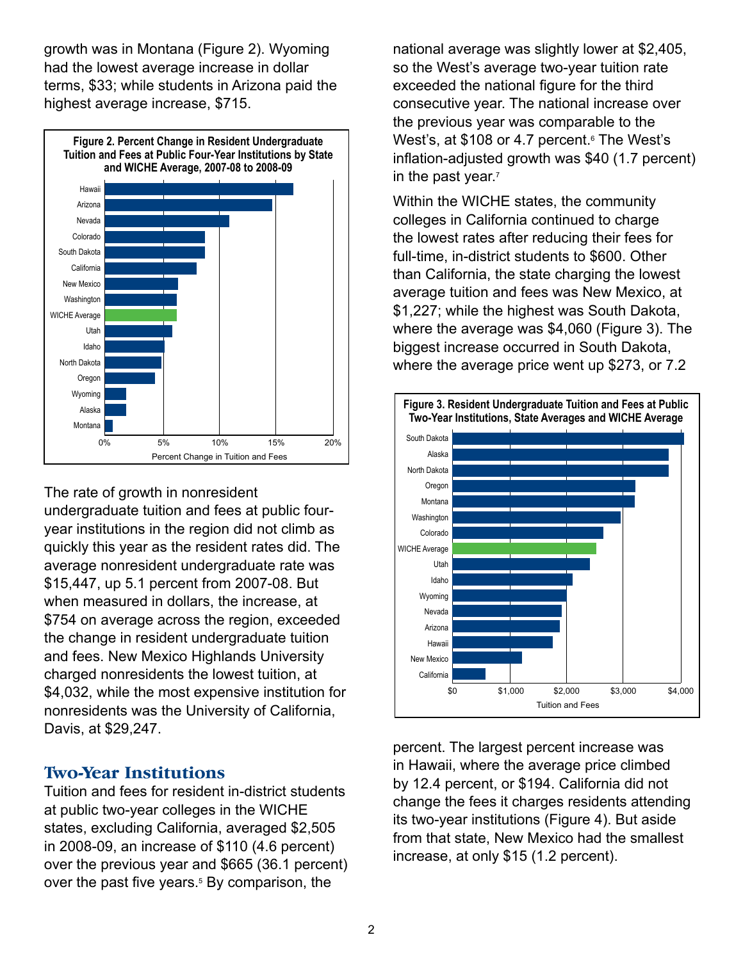growth was in Montana (Figure 2). Wyoming had the lowest average increase in dollar terms, \$33; while students in Arizona paid the highest average increase, \$715.



The rate of growth in nonresident undergraduate tuition and fees at public fouryear institutions in the region did not climb as quickly this year as the resident rates did. The average nonresident undergraduate rate was \$15,447, up 5.1 percent from 2007-08. But when measured in dollars, the increase, at \$754 on average across the region, exceeded the change in resident undergraduate tuition and fees. New Mexico Highlands University charged nonresidents the lowest tuition, at \$4,032, while the most expensive institution for nonresidents was the University of California, Davis, at \$29,247.

### **Two-Year Institutions**

Tuition and fees for resident in-district students at public two-year colleges in the WICHE states, excluding California, averaged \$2,505 in 2008-09, an increase of \$110 (4.6 percent) over the previous year and \$665 (36.1 percent) over the past five years.<sup>5</sup> By comparison, the

national average was slightly lower at \$2,405, so the West's average two-year tuition rate exceeded the national figure for the third consecutive year. The national increase over the previous year was comparable to the West's, at \$108 or 4.7 percent.<sup>s</sup> The West's inflation-adjusted growth was \$40 (1.7 percent) in the past year.<sup>7</sup>

Within the WICHE states, the community colleges in California continued to charge the lowest rates after reducing their fees for full-time, in-district students to \$600. Other than California, the state charging the lowest average tuition and fees was New Mexico, at \$1,227; while the highest was South Dakota, where the average was \$4,060 (Figure 3). The biggest increase occurred in South Dakota, where the average price went up \$273, or 7.2



percent. The largest percent increase was in Hawaii, where the average price climbed by 12.4 percent, or \$194. California did not change the fees it charges residents attending its two-year institutions (Figure 4). But aside from that state, New Mexico had the smallest increase, at only \$15 (1.2 percent).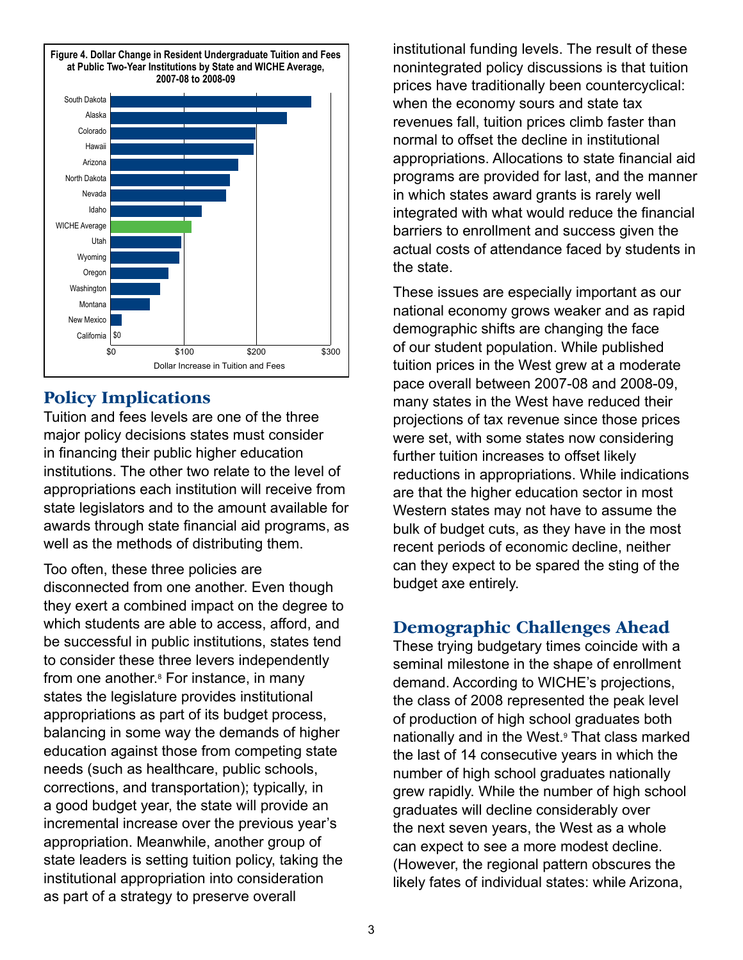

# **Policy Implications**

Tuition and fees levels are one of the three major policy decisions states must consider in financing their public higher education institutions. The other two relate to the level of appropriations each institution will receive from state legislators and to the amount available for awards through state financial aid programs, as well as the methods of distributing them.

Too often, these three policies are disconnected from one another. Even though they exert a combined impact on the degree to which students are able to access, afford, and be successful in public institutions, states tend to consider these three levers independently from one another.8 For instance, in many states the legislature provides institutional appropriations as part of its budget process, balancing in some way the demands of higher education against those from competing state needs (such as healthcare, public schools, corrections, and transportation); typically, in a good budget year, the state will provide an incremental increase over the previous year's appropriation. Meanwhile, another group of state leaders is setting tuition policy, taking the institutional appropriation into consideration as part of a strategy to preserve overall

institutional funding levels. The result of these nonintegrated policy discussions is that tuition prices have traditionally been countercyclical: when the economy sours and state tax revenues fall, tuition prices climb faster than normal to offset the decline in institutional appropriations. Allocations to state financial aid programs are provided for last, and the manner in which states award grants is rarely well integrated with what would reduce the financial barriers to enrollment and success given the actual costs of attendance faced by students in the state.

These issues are especially important as our national economy grows weaker and as rapid demographic shifts are changing the face of our student population. While published tuition prices in the West grew at a moderate pace overall between 2007-08 and 2008-09, many states in the West have reduced their projections of tax revenue since those prices were set, with some states now considering further tuition increases to offset likely reductions in appropriations. While indications are that the higher education sector in most Western states may not have to assume the bulk of budget cuts, as they have in the most recent periods of economic decline, neither can they expect to be spared the sting of the budget axe entirely.

## **Demographic Challenges Ahead**

These trying budgetary times coincide with a seminal milestone in the shape of enrollment demand. According to WICHE's projections, the class of 2008 represented the peak level of production of high school graduates both nationally and in the West.9 That class marked the last of 14 consecutive years in which the number of high school graduates nationally grew rapidly. While the number of high school graduates will decline considerably over the next seven years, the West as a whole can expect to see a more modest decline. (However, the regional pattern obscures the likely fates of individual states: while Arizona,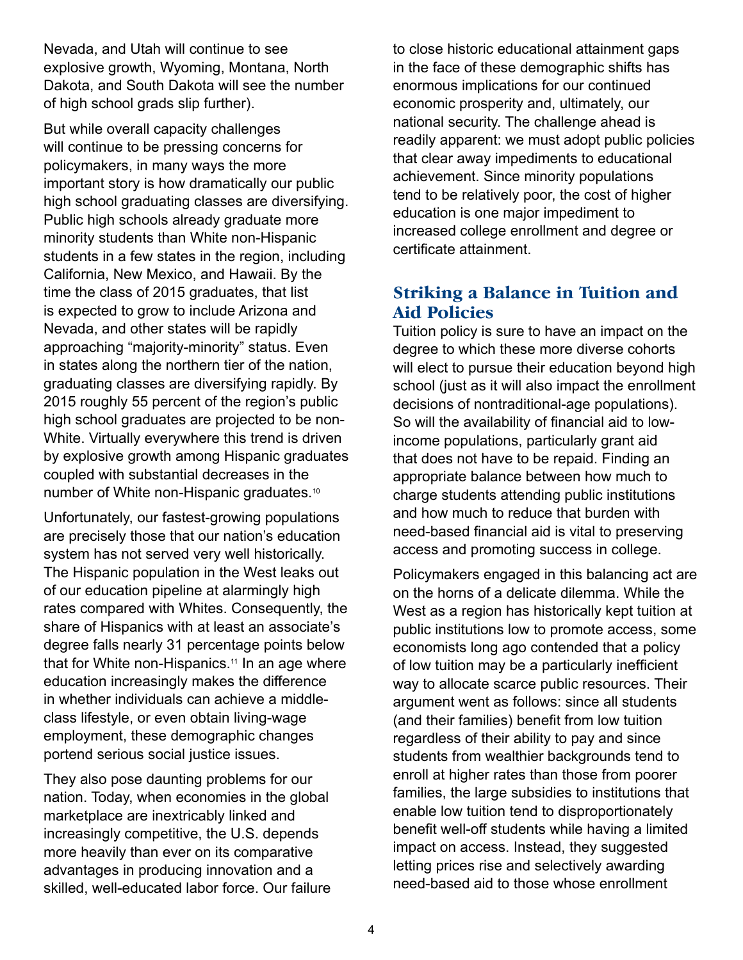Nevada, and Utah will continue to see explosive growth, Wyoming, Montana, North Dakota, and South Dakota will see the number of high school grads slip further).

But while overall capacity challenges will continue to be pressing concerns for policymakers, in many ways the more important story is how dramatically our public high school graduating classes are diversifying. Public high schools already graduate more minority students than White non-Hispanic students in a few states in the region, including California, New Mexico, and Hawaii. By the time the class of 2015 graduates, that list is expected to grow to include Arizona and Nevada, and other states will be rapidly approaching "majority-minority" status. Even in states along the northern tier of the nation, graduating classes are diversifying rapidly. By 2015 roughly 55 percent of the region's public high school graduates are projected to be non-White. Virtually everywhere this trend is driven by explosive growth among Hispanic graduates coupled with substantial decreases in the number of White non-Hispanic graduates.10

Unfortunately, our fastest-growing populations are precisely those that our nation's education system has not served very well historically. The Hispanic population in the West leaks out of our education pipeline at alarmingly high rates compared with Whites. Consequently, the share of Hispanics with at least an associate's degree falls nearly 31 percentage points below that for White non-Hispanics.<sup>11</sup> In an age where education increasingly makes the difference in whether individuals can achieve a middleclass lifestyle, or even obtain living-wage employment, these demographic changes portend serious social justice issues.

They also pose daunting problems for our nation. Today, when economies in the global marketplace are inextricably linked and increasingly competitive, the U.S. depends more heavily than ever on its comparative advantages in producing innovation and a skilled, well-educated labor force. Our failure to close historic educational attainment gaps in the face of these demographic shifts has enormous implications for our continued economic prosperity and, ultimately, our national security. The challenge ahead is readily apparent: we must adopt public policies that clear away impediments to educational achievement. Since minority populations tend to be relatively poor, the cost of higher education is one major impediment to increased college enrollment and degree or certificate attainment.

# **Striking a Balance in Tuition and Aid Policies**

Tuition policy is sure to have an impact on the degree to which these more diverse cohorts will elect to pursue their education beyond high school (just as it will also impact the enrollment decisions of nontraditional-age populations). So will the availability of financial aid to lowincome populations, particularly grant aid that does not have to be repaid. Finding an appropriate balance between how much to charge students attending public institutions and how much to reduce that burden with need-based financial aid is vital to preserving access and promoting success in college.

Policymakers engaged in this balancing act are on the horns of a delicate dilemma. While the West as a region has historically kept tuition at public institutions low to promote access, some economists long ago contended that a policy of low tuition may be a particularly inefficient way to allocate scarce public resources. Their argument went as follows: since all students (and their families) benefit from low tuition regardless of their ability to pay and since students from wealthier backgrounds tend to enroll at higher rates than those from poorer families, the large subsidies to institutions that enable low tuition tend to disproportionately benefit well-off students while having a limited impact on access. Instead, they suggested letting prices rise and selectively awarding need-based aid to those whose enrollment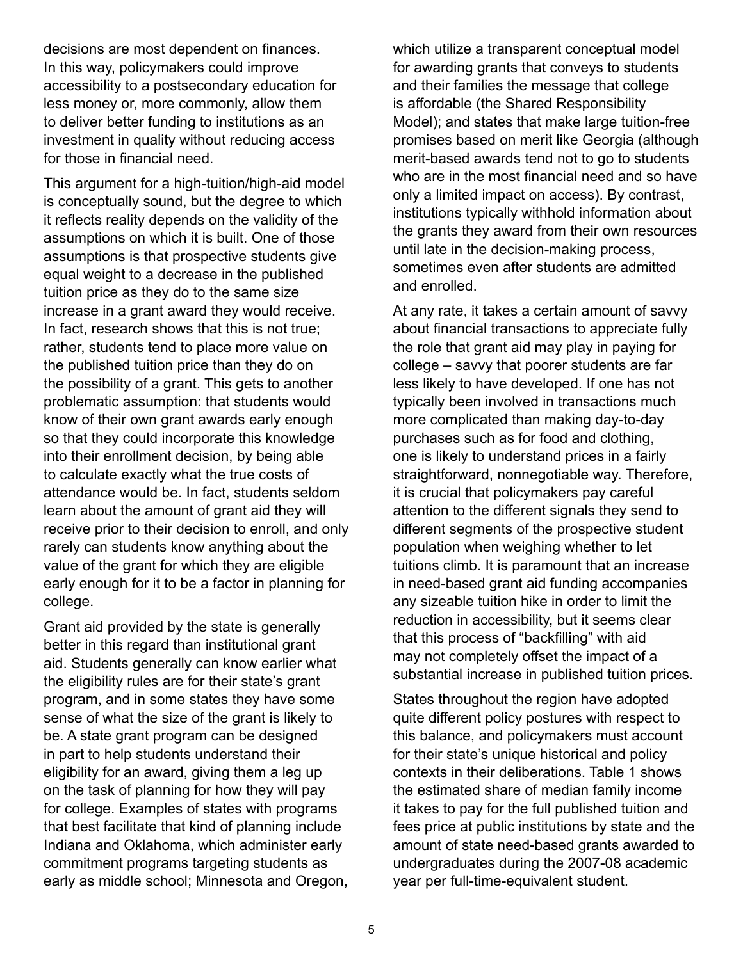decisions are most dependent on finances. In this way, policymakers could improve accessibility to a postsecondary education for less money or, more commonly, allow them to deliver better funding to institutions as an investment in quality without reducing access for those in financial need.

This argument for a high-tuition/high-aid model is conceptually sound, but the degree to which it reflects reality depends on the validity of the assumptions on which it is built. One of those assumptions is that prospective students give equal weight to a decrease in the published tuition price as they do to the same size increase in a grant award they would receive. In fact, research shows that this is not true; rather, students tend to place more value on the published tuition price than they do on the possibility of a grant. This gets to another problematic assumption: that students would know of their own grant awards early enough so that they could incorporate this knowledge into their enrollment decision, by being able to calculate exactly what the true costs of attendance would be. In fact, students seldom learn about the amount of grant aid they will receive prior to their decision to enroll, and only rarely can students know anything about the value of the grant for which they are eligible early enough for it to be a factor in planning for college.

Grant aid provided by the state is generally better in this regard than institutional grant aid. Students generally can know earlier what the eligibility rules are for their state's grant program, and in some states they have some sense of what the size of the grant is likely to be. A state grant program can be designed in part to help students understand their eligibility for an award, giving them a leg up on the task of planning for how they will pay for college. Examples of states with programs that best facilitate that kind of planning include Indiana and Oklahoma, which administer early commitment programs targeting students as early as middle school; Minnesota and Oregon, which utilize a transparent conceptual model for awarding grants that conveys to students and their families the message that college is affordable (the Shared Responsibility Model); and states that make large tuition-free promises based on merit like Georgia (although merit-based awards tend not to go to students who are in the most financial need and so have only a limited impact on access). By contrast, institutions typically withhold information about the grants they award from their own resources until late in the decision-making process, sometimes even after students are admitted and enrolled.

At any rate, it takes a certain amount of savvy about financial transactions to appreciate fully the role that grant aid may play in paying for college – savvy that poorer students are far less likely to have developed. If one has not typically been involved in transactions much more complicated than making day-to-day purchases such as for food and clothing, one is likely to understand prices in a fairly straightforward, nonnegotiable way. Therefore, it is crucial that policymakers pay careful attention to the different signals they send to different segments of the prospective student population when weighing whether to let tuitions climb. It is paramount that an increase in need-based grant aid funding accompanies any sizeable tuition hike in order to limit the reduction in accessibility, but it seems clear that this process of "backfilling" with aid may not completely offset the impact of a substantial increase in published tuition prices.

States throughout the region have adopted quite different policy postures with respect to this balance, and policymakers must account for their state's unique historical and policy contexts in their deliberations. Table 1 shows the estimated share of median family income it takes to pay for the full published tuition and fees price at public institutions by state and the amount of state need-based grants awarded to undergraduates during the 2007-08 academic year per full-time-equivalent student.